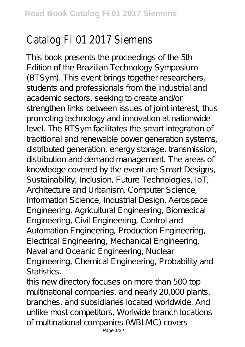## Catalog Fi 01 2017 Siemens

This book presents the proceedings of the 5th Edition of the Brazilian Technology Symposium (BTSym). This event brings together researchers, students and professionals from the industrial and academic sectors, seeking to create and/or strengthen links between issues of joint interest, thus promoting technology and innovation at nationwide level. The BTSym facilitates the smart integration of traditional and renewable power generation systems, distributed generation, energy storage, transmission, distribution and demand management. The areas of knowledge covered by the event are Smart Designs, Sustainability, Inclusion, Future Technologies, IoT, Architecture and Urbanism, Computer Science, Information Science, Industrial Design, Aerospace Engineering, Agricultural Engineering, Biomedical Engineering, Civil Engineering, Control and Automation Engineering, Production Engineering, Electrical Engineering, Mechanical Engineering, Naval and Oceanic Engineering, Nuclear Engineering, Chemical Engineering, Probability and Statistics.

this new directory focuses on more than 500 top multinational companies, and nearly 20,000 plants, branches, and subsidiaries located worldwide. And unlike most competitors, Worlwide branch locations of multinational companies (WBLMC) covers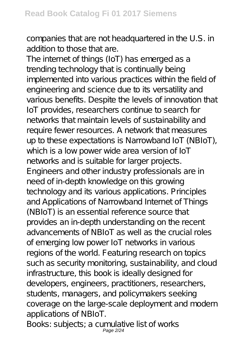companies that are not headquartered in the U.S. in addition to those that are.

The internet of things (IoT) has emerged as a trending technology that is continually being implemented into various practices within the field of engineering and science due to its versatility and various benefits. Despite the levels of innovation that IoT provides, researchers continue to search for networks that maintain levels of sustainability and require fewer resources. A network that measures up to these expectations is Narrowband IoT (NBIoT), which is a low power wide area version of IoT networks and is suitable for larger projects. Engineers and other industry professionals are in need of in-depth knowledge on this growing technology and its various applications. Principles and Applications of Narrowband Internet of Things (NBIoT) is an essential reference source that provides an in-depth understanding on the recent advancements of NBIoT as well as the crucial roles of emerging low power IoT networks in various regions of the world. Featuring research on topics such as security monitoring, sustainability, and cloud infrastructure, this book is ideally designed for developers, engineers, practitioners, researchers, students, managers, and policymakers seeking coverage on the large-scale deployment and modern applications of NBIoT.

Books: subjects; a cumulative list of works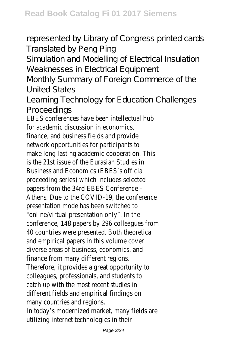represented by Library of Congress printed cards Translated by Peng Ping

Simulation and Modelling of Electrical Insulation Weaknesses in Electrical Equipment

Monthly Summary of Foreign Commerce of the United States

Learning Technology for Education Challenges Proceedings

EBES conferences have been intellectual hub for academic discussion in economics, finance, and business fields and provide network opportunities for participants to make long lasting academic cooperation. This is the 21st issue of the Eurasian Studies in Business and Economics (EBES's official proceeding series) which includes selected papers from the 34rd EBES Conference – Athens. Due to the COVID-19, the conference presentation mode has been switched to "online/virtual presentation only". In the conference, 148 papers by 296 colleagues from 40 countries were presented. Both theoretical and empirical papers in this volume cover diverse areas of business, economics, and finance from many different regions. Therefore, it provides a great opportunity to colleagues, professionals, and students to catch up with the most recent studies in different fields and empirical findings on many countries and regions. In today's modernized market, many fields are utilizing internet technologies in their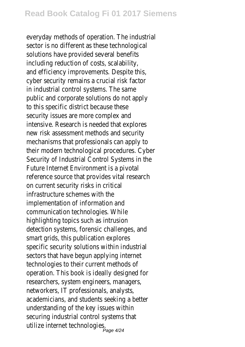everyday methods of operation. The industrial sector is no different as these technological solutions have provided several benefits including reduction of costs, scalability, and efficiency improvements. Despite this, cyber security remains a crucial risk factor in industrial control systems. The same public and corporate solutions do not apply to this specific district because these security issues are more complex and intensive. Research is needed that explores new risk assessment methods and security mechanisms that professionals can apply to their modern technological procedures. Cyber Security of Industrial Control Systems in the Future Internet Environment is a pivotal reference source that provides vital research on current security risks in critical infrastructure schemes with the implementation of information and communication technologies. While highlighting topics such as intrusion detection systems, forensic challenges, and smart grids, this publication explores specific security solutions within industrial sectors that have begun applying internet technologies to their current methods of operation. This book is ideally designed for researchers, system engineers, managers, networkers, IT professionals, analysts, academicians, and students seeking a better understanding of the key issues within securing industrial control systems that utilize internet technologies.<br>Page 4/24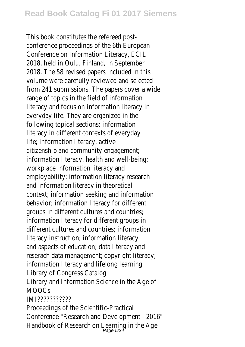This book constitutes the refereed postconference proceedings of the 6th European Conference on Information Literacy, ECIL 2018, held in Oulu, Finland, in September 2018. The 58 revised papers included in this volume were carefully reviewed and selected from 241 submissions. The papers cover a wide range of topics in the field of information literacy and focus on information literacy in everyday life. They are organized in the following topical sections: information literacy in different contexts of everyday life; information literacy, active citizenship and community engagement; information literacy, health and well-being; workplace information literacy and employability; information literacy research and information literacy in theoretical context; information seeking and information behavior; information literacy for different groups in different cultures and countries; information literacy for different groups in different cultures and countries; information literacy instruction; information literacy and aspects of education; data literacy and reserach data management; copyright literacy; information literacy and lifelong learning. Library of Congress Catalog Library and Information Science in the Age of MOOCs IMI??????????? Proceedings of the Scientific-Practical

Conference "Research and Development - 2016" Handbook of Research on Learning in the Age<br>Page 5/24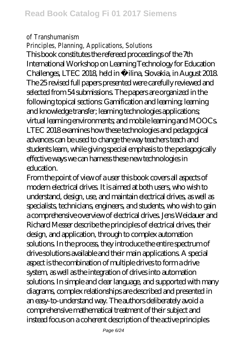## of Transhumanism

Principles, Planning, Applications, Solutions This book constitutes the refereed proceedings of the 7th International Workshop on Learning Technology for Education Challenges, LTEC 2018, held in Žilina, Slovakia, in August 2018. The 25 revised full papers presented were carefully reviewed and selected from 54 submissions. The papers are organized in the following topical sections: Gamification and learning; learning and knowledge transfer; learning technologies applications; virtual learning environments; and mobile learning and MOOCs. LTEC 2018 examines how these technologies and pedagogical advances can be used to change the way teachers teach and students learn, while giving special emphasis to the pedagogically effective ways we can harness these new technologies in education.

From the point of view of a user this book covers all aspects of modern electrical drives. It is aimed at both users, who wish to understand, design, use, and maintain electrical drives, as well as specialists, technicians, engineers, and students, who wish to gain a comprehensive overview of electrical drives. Jens Weidauer and Richard Messer describe the principles of electrical drives, their design, and application, through to complex automation solutions. In the process, they introduce the entire spectrum of drive solutions available and their main applications. A special aspect is the combination of multiple drives to form a drive system, as well as the integration of drives into automation solutions. In simple and clear language, and supported with many diagrams, complex relationships are described and presented in an easy-to-understand way. The authors deliberately avoid a comprehensive mathematical treatment of their subject and instead focus on a coherent description of the active principles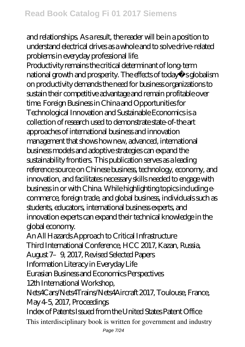and relationships. As a result, the reader will be in a position to understand electrical drives as a whole and to solve drive-related problems in everyday professional life.

Productivity remains the critical determinant of long-term national growth and prosperity. The effects of today s globalism on productivity demands the need for business organizations to sustain their competitive advantage and remain profitable over time. Foreign Business in China and Opportunities for Technological Innovation and Sustainable Economics is a collection of research used to demonstrate state-of-the art approaches of international business and innovation management that shows how new, advanced, international business models and adoptive strategies can expand the sustainability frontiers. This publication serves as a leading reference source on Chinese business, technology, economy, and innovation, and facilitates necessary skills needed to engage with business in or with China. While highlighting topics including ecommerce, foreign trade, and global business, individuals such as students, educators, international business experts, and innovation experts can expand their technical knowledge in the global economy.

An All Hazards Approach to Critical Infrastructure Third International Conference, HCC 2017, Kazan, Russia, August 7–9, 2017, Revised Selected Papers

Information Literacy in Everyday Life

Eurasian Business and Economics Perspectives

12th International Workshop,

Nets4Cars/Nets4Trains/Nets4Aircraft 2017, Toulouse, France, May 4-5, 2017, Proceedings

Index of Patents Issued from the United States Patent Office This interdisciplinary book is written for government and industry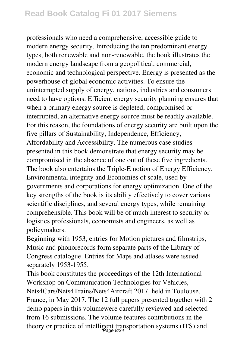professionals who need a comprehensive, accessible guide to modern energy security. Introducing the ten predominant energy types, both renewable and non-renewable, the book illustrates the modern energy landscape from a geopolitical, commercial, economic and technological perspective. Energy is presented as the powerhouse of global economic activities. To ensure the uninterrupted supply of energy, nations, industries and consumers need to have options. Efficient energy security planning ensures that when a primary energy source is depleted, compromised or interrupted, an alternative energy source must be readily available. For this reason, the foundations of energy security are built upon the five pillars of Sustainability, Independence, Efficiency, Affordability and Accessibility. The numerous case studies presented in this book demonstrate that energy security may be compromised in the absence of one out of these five ingredients. The book also entertains the Triple-E notion of Energy Efficiency, Environmental integrity and Economies of scale, used by governments and corporations for energy optimization. One of the key strengths of the book is its ability effectively to cover various scientific disciplines, and several energy types, while remaining comprehensible. This book will be of much interest to security or logistics professionals, economists and engineers, as well as policymakers.

Beginning with 1953, entries for Motion pictures and filmstrips, Music and phonorecords form separate parts of the Library of Congress catalogue. Entries for Maps and atlases were issued separately 1953-1955.

This book constitutes the proceedings of the 12th International Workshop on Communication Technologies for Vehicles, Nets4Cars/Nets4Trains/Nets4Aircraft 2017, held in Toulouse, France, in May 2017. The 12 full papers presented together with 2 demo papers in this volumewere carefully reviewed and selected from 16 submissions. The volume features contributions in the theory or practice of intelligent transportation systems (ITS) and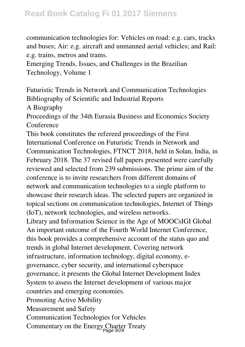communication technologies for: Vehicles on road: e.g. cars, tracks and buses; Air: e.g. aircraft and unmanned aerial vehicles; and Rail: e.g. trains, metros and trams.

Emerging Trends, Issues, and Challenges in the Brazilian Technology, Volume 1

Futuristic Trends in Network and Communication Technologies Bibliography of Scientific and Industrial Reports

A Biography

Proceedings of the 34th Eurasia Business and Economics Society Conference

This book constitutes the refereed proceedings of the First International Conference on Futuristic Trends in Network and Communication Technologies, FTNCT 2018, held in Solan, India, in February 2018. The 37 revised full papers presented were carefully reviewed and selected from 239 submissions. The prime aim of the conference is to invite researchers from different domains of network and communication technologies to a single platform to showcase their research ideas. The selected papers are organized in topical sections on communication technologies, Internet of Things (IoT), network technologies, and wireless networks.

Library and Information Science in the Age of MOOCsIGI Global An important outcome of the Fourth World Internet Conference, this book provides a comprehensive account of the status quo and trends in global Internet development. Covering network infrastructure, information technology, digital economy, egovernance, cyber security, and international cyberspace governance, it presents the Global Internet Development Index System to assess the Internet development of various major countries and emerging economies.

Promoting Active Mobility

Measurement and Safety

Communication Technologies for Vehicles

Commentary on the Energy Charter Treaty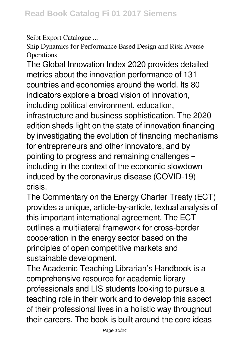Seibt Export Catalogue ...

Ship Dynamics for Performance Based Design and Risk Averse **Operations** 

The Global Innovation Index 2020 provides detailed metrics about the innovation performance of 131 countries and economies around the world. Its 80 indicators explore a broad vision of innovation, including political environment, education, infrastructure and business sophistication. The 2020 edition sheds light on the state of innovation financing by investigating the evolution of financing mechanisms for entrepreneurs and other innovators, and by pointing to progress and remaining challenges – including in the context of the economic slowdown induced by the coronavirus disease (COVID-19) crisis.

The Commentary on the Energy Charter Treaty (ECT) provides a unique, article-by-article, textual analysis of this important international agreement. The ECT outlines a multilateral framework for cross-border cooperation in the energy sector based on the principles of open competitive markets and sustainable development.

The Academic Teaching Librarian's Handbook is a comprehensive resource for academic library professionals and LIS students looking to pursue a teaching role in their work and to develop this aspect of their professional lives in a holistic way throughout their careers. The book is built around the core ideas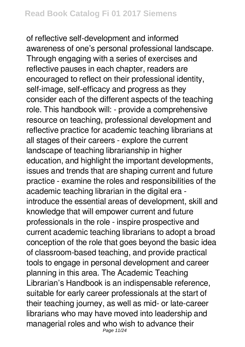of reflective self-development and informed awareness of one's personal professional landscape. Through engaging with a series of exercises and reflective pauses in each chapter, readers are encouraged to reflect on their professional identity, self-image, self-efficacy and progress as they consider each of the different aspects of the teaching role. This handbook will: - provide a comprehensive resource on teaching, professional development and reflective practice for academic teaching librarians at all stages of their careers - explore the current landscape of teaching librarianship in higher education, and highlight the important developments, issues and trends that are shaping current and future practice - examine the roles and responsibilities of the academic teaching librarian in the digital era introduce the essential areas of development, skill and knowledge that will empower current and future professionals in the role - inspire prospective and current academic teaching librarians to adopt a broad conception of the role that goes beyond the basic idea of classroom-based teaching, and provide practical tools to engage in personal development and career planning in this area. The Academic Teaching Librarian's Handbook is an indispensable reference, suitable for early career professionals at the start of their teaching journey, as well as mid- or late-career librarians who may have moved into leadership and managerial roles and who wish to advance their Page 11/24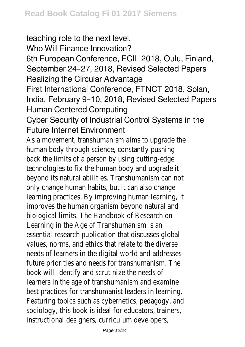teaching role to the next level. Who Will Finance Innovation? 6th European Conference, ECIL 2018, Oulu, Finland, September 24–27, 2018, Revised Selected Papers Realizing the Circular Advantage First International Conference, FTNCT 2018, Solan, India, February 9–10, 2018, Revised Selected Papers Human Centered Computing Cyber Security of Industrial Control Systems in the Future Internet Environment As a movement, transhumanism aims to upgrade the human body through science, constantly pushing back the limits of a person by using cutting-edge technologies to fix the human body and upgrade it beyond its natural abilities. Transhumanism can not only change human habits, but it can also change

learning practices. By improving human learning, it improves the human organism beyond natural and biological limits. The Handbook of Research on Learning in the Age of Transhumanism is an essential research publication that discusses global values, norms, and ethics that relate to the diverse needs of learners in the digital world and addresses future priorities and needs for transhumanism. The book will identify and scrutinize the needs of learners in the age of transhumanism and examine best practices for transhumanist leaders in learning. Featuring topics such as cybernetics, pedagogy, and sociology, this book is ideal for educators, trainers, instructional designers, curriculum developers,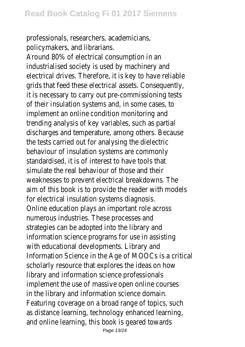professionals, researchers, academicians, policymakers, and librarians.

Around 80% of electrical consumption in an industrialised society is used by machinery and electrical drives. Therefore, it is key to have reliable grids that feed these electrical assets. Consequently, it is necessary to carry out pre-commissioning tests of their insulation systems and, in some cases, to implement an online condition monitoring and trending analysis of key variables, such as partial discharges and temperature, among others. Because the tests carried out for analysing the dielectric behaviour of insulation systems are commonly standardised, it is of interest to have tools that simulate the real behaviour of those and their weaknesses to prevent electrical breakdowns. The aim of this book is to provide the reader with models for electrical insulation systems diagnosis. Online education plays an important role across numerous industries. These processes and strategies can be adopted into the library and information science programs for use in assisting with educational developments. Library and Information Science in the Age of MOOCs is a critical scholarly resource that explores the ideas on how library and information science professionals implement the use of massive open online courses in the library and information science domain. Featuring coverage on a broad range of topics, such as distance learning, technology enhanced learning, and online learning, this book is geared towards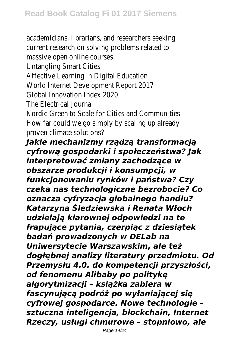academicians, librarians, and researchers seeking current research on solving problems related to massive open online courses. Untangling Smart Cities Affective Learning in Digital Education World Internet Development Report 2017 Global Innovation Index 2020 The Electrical Journal Nordic Green to Scale for Cities and Communities: How far could we go simply by scaling up already proven climate solutions? *Jakie mechanizmy rządzą transformacją cyfrową gospodarki i społeczeństwa? Jak interpretować zmiany zachodzące w obszarze produkcji i konsumpcji, w funkcjonowaniu rynków i państwa? Czy czeka nas technologiczne bezrobocie? Co oznacza cyfryzacja globalnego handlu? Katarzyna Śledziewska i Renata Włoch udzielają klarownej odpowiedzi na te frapujące pytania, czerpiąc z dziesiątek badań prowadzonych w DELab na Uniwersytecie Warszawskim, ale też dogłębnej analizy literatury przedmiotu. Od Przemysłu 4.0. do kompetencji przyszłości, od fenomenu Alibaby po politykę algorytmizacji – książka zabiera w fascynującą podróż po wyłaniającej się cyfrowej gospodarce. Nowe technologie – sztuczna inteligencja, blockchain, Internet Rzeczy, usługi chmurowe – stopniowo, ale*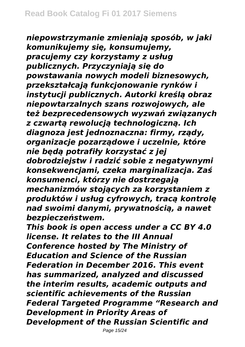*niepowstrzymanie zmieniają sposób, w jaki komunikujemy się, konsumujemy, pracujemy czy korzystamy z usług publicznych. Przyczyniają się do powstawania nowych modeli biznesowych, przekształcają funkcjonowanie rynków i instytucji publicznych. Autorki kreślą obraz niepowtarzalnych szans rozwojowych, ale też bezprecedensowych wyzwań związanych z czwartą rewolucją technologiczną. Ich diagnoza jest jednoznaczna: firmy, rządy, organizacje pozarządowe i uczelnie, które nie będą potrafiły korzystać z jej dobrodziejstw i radzić sobie z negatywnymi konsekwencjami, czeka marginalizacja. Zaś konsumenci, którzy nie dostrzegają mechanizmów stojących za korzystaniem z produktów i usług cyfrowych, tracą kontrolę nad swoimi danymi, prywatnością, a nawet bezpieczeństwem.*

*This book is open access under a CC BY 4.0 license. It relates to the III Annual Conference hosted by The Ministry of Education and Science of the Russian Federation in December 2016. This event has summarized, analyzed and discussed the interim results, academic outputs and scientific achievements of the Russian Federal Targeted Programme "Research and Development in Priority Areas of Development of the Russian Scientific and*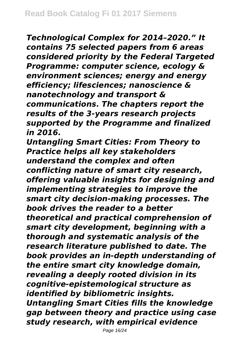*Technological Complex for 2014–2020." It contains 75 selected papers from 6 areas considered priority by the Federal Targeted Programme: computer science, ecology & environment sciences; energy and energy efficiency; lifesciences; nanoscience & nanotechnology and transport & communications. The chapters report the results of the 3-years research projects supported by the Programme and finalized in 2016.*

*Untangling Smart Cities: From Theory to Practice helps all key stakeholders understand the complex and often conflicting nature of smart city research, offering valuable insights for designing and implementing strategies to improve the smart city decision-making processes. The book drives the reader to a better theoretical and practical comprehension of smart city development, beginning with a thorough and systematic analysis of the research literature published to date. The book provides an in-depth understanding of the entire smart city knowledge domain, revealing a deeply rooted division in its cognitive-epistemological structure as identified by bibliometric insights. Untangling Smart Cities fills the knowledge gap between theory and practice using case study research, with empirical evidence*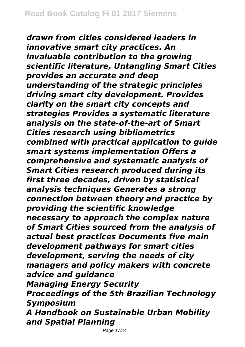*drawn from cities considered leaders in innovative smart city practices. An invaluable contribution to the growing scientific literature, Untangling Smart Cities provides an accurate and deep understanding of the strategic principles driving smart city development. Provides clarity on the smart city concepts and strategies Provides a systematic literature analysis on the state-of-the-art of Smart Cities research using bibliometrics combined with practical application to guide smart systems implementation Offers a comprehensive and systematic analysis of Smart Cities research produced during its first three decades, driven by statistical analysis techniques Generates a strong connection between theory and practice by providing the scientific knowledge necessary to approach the complex nature of Smart Cities sourced from the analysis of actual best practices Documents five main development pathways for smart cities development, serving the needs of city managers and policy makers with concrete advice and guidance Managing Energy Security Proceedings of the 5th Brazilian Technology Symposium A Handbook on Sustainable Urban Mobility and Spatial Planning*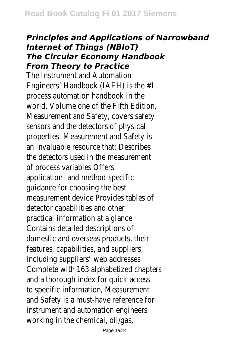## *Principles and Applications of Narrowband Internet of Things (NBIoT) The Circular Economy Handbook From Theory to Practice*

The Instrument and Automation Engineers' Handbook (IAEH) is the #1 process automation handbook in the world. Volume one of the Fifth Edition, Measurement and Safety, covers safety sensors and the detectors of physical properties. Measurement and Safety is an invaluable resource that: Describes the detectors used in the measurement of process variables Offers application- and method-specific guidance for choosing the best measurement device Provides tables of detector capabilities and other practical information at a glance Contains detailed descriptions of domestic and overseas products, their features, capabilities, and suppliers, including suppliers' web addresses Complete with 163 alphabetized chapters and a thorough index for quick access to specific information, Measurement and Safety is a must-have reference for instrument and automation engineers working in the chemical, oil/gas,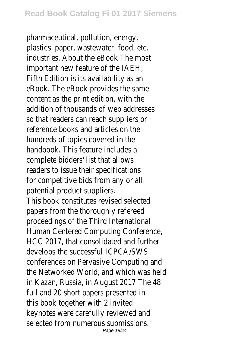pharmaceutical, pollution, energy, plastics, paper, wastewater, food, etc. industries. About the eBook The most important new feature of the IAEH, Fifth Edition is its availability as an eBook. The eBook provides the same content as the print edition, with the addition of thousands of web addresses so that readers can reach suppliers or reference books and articles on the hundreds of topics covered in the handbook. This feature includes a complete bidders' list that allows readers to issue their specifications for competitive bids from any or all potential product suppliers. This book constitutes revised selected papers from the thoroughly refereed proceedings of the Third International Human Centered Computing Conference, HCC 2017, that consolidated and further develops the successful ICPCA/SWS conferences on Pervasive Computing and the Networked World, and which was held in Kazan, Russia, in August 2017.The 48 full and 20 short papers presented in this book together with 2 invited keynotes were carefully reviewed and selected from numerous submissions. Page 19/24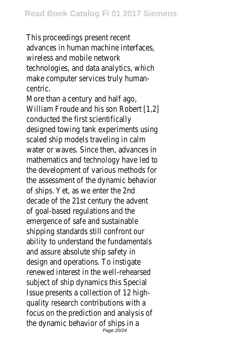This proceedings present recent advances in human machine interfaces, wireless and mobile network technologies, and data analytics, which make computer services truly humancentric.

More than a century and half ago, William Froude and his son Robert [1,2] conducted the first scientifically designed towing tank experiments using scaled ship models traveling in calm water or waves. Since then, advances in mathematics and technology have led to the development of various methods for the assessment of the dynamic behavior of ships. Yet, as we enter the 2nd decade of the 21st century the advent of goal-based regulations and the emergence of safe and sustainable shipping standards still confront our ability to understand the fundamentals and assure absolute ship safety in design and operations. To instigate renewed interest in the well-rehearsed subject of ship dynamics this Special Issue presents a collection of 12 highquality research contributions with a focus on the prediction and analysis of the dynamic behavior of ships in a Page 20/24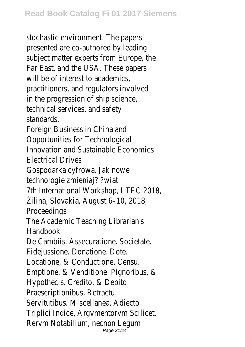stochastic environment. The papers presented are co-authored by leading subject matter experts from Europe, the Far East, and the USA. These papers will be of interest to academics. practitioners, and regulators involved in the progression of ship science, technical services, and safety standards. Foreign Business in China and Opportunities for Technological Innovation and Sustainable Economics Electrical Drives Gospodarka cyfrowa. Jak nowe technologie zmieniaj? ?wiat 7th International Workshop, LTEC 2018, Žilina, Slovakia, August 6–10, 2018, Proceedings The Academic Teaching Librarian's **Handbook** De Cambiis. Assecuratione. Societate. Fidejussione. Donatione. Dote. Locatione, & Conductione. Censu. Emptione, & Venditione. Pignoribus, & Hypothecis. Credito, & Debito. Praescriptionibus. Retractu. Servitutibus. Miscellanea. Adiecto Triplici Indice, Argvmentorvm Scilicet, Rervm Notabilium, necnon Legum Page 21/24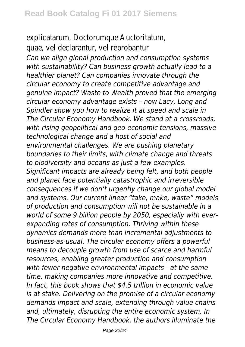explicatarum, Doctorumque Auctoritatum, quae, vel declarantur, vel reprobantur *Can we align global production and consumption systems with sustainability? Can business growth actually lead to a healthier planet? Can companies innovate through the circular economy to create competitive advantage and genuine impact? Waste to Wealth proved that the emerging circular economy advantage exists – now Lacy, Long and Spindler show you how to realize it at speed and scale in The Circular Economy Handbook. We stand at a crossroads, with rising geopolitical and geo-economic tensions, massive technological change and a host of social and environmental challenges. We are pushing planetary boundaries to their limits, with climate change and threats to biodiversity and oceans as just a few examples. Significant impacts are already being felt, and both people and planet face potentially catastrophic and irreversible consequences if we don't urgently change our global model and systems. Our current linear "take, make, waste" models of production and consumption will not be sustainable in a world of some 9 billion people by 2050, especially with everexpanding rates of consumption. Thriving within these dynamics demands more than incremental adjustments to business-as-usual. The circular economy offers a powerful means to decouple growth from use of scarce and harmful resources, enabling greater production and consumption with fewer negative environmental impacts—at the same time, making companies more innovative and competitive. In fact, this book shows that \$4.5 trillion in economic value is at stake. Delivering on the promise of a circular economy demands impact and scale, extending through value chains and, ultimately, disrupting the entire economic system. In The Circular Economy Handbook, the authors illuminate the*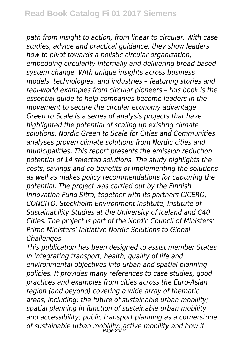*path from insight to action, from linear to circular. With case studies, advice and practical guidance, they show leaders how to pivot towards a holistic circular organization, embedding circularity internally and delivering broad-based system change. With unique insights across business models, technologies, and industries – featuring stories and real-world examples from circular pioneers – this book is the essential guide to help companies become leaders in the movement to secure the circular economy advantage. Green to Scale is a series of analysis projects that have highlighted the potential of scaling up existing climate solutions. Nordic Green to Scale for Cities and Communities analyses proven climate solutions from Nordic cities and municipalities. This report presents the emission reduction potential of 14 selected solutions. The study highlights the costs, savings and co-benefits of implementing the solutions as well as makes policy recommendations for capturing the potential. The project was carried out by the Finnish Innovation Fund Sitra, together with its partners CICERO, CONCITO, Stockholm Environment Institute, Institute of Sustainability Studies at the University of Iceland and C40 Cities. The project is part of the Nordic Council of Ministers' Prime Ministers' Initiative Nordic Solutions to Global Challenges.*

*This publication has been designed to assist member States in integrating transport, health, quality of life and environmental objectives into urban and spatial planning policies. It provides many references to case studies, good practices and examples from cities across the Euro-Asian region (and beyond) covering a wide array of thematic areas, including: the future of sustainable urban mobility; spatial planning in function of sustainable urban mobility and accessibility; public transport planning as a cornerstone of sustainable urban mobility; active mobility and how it* Page 23/24